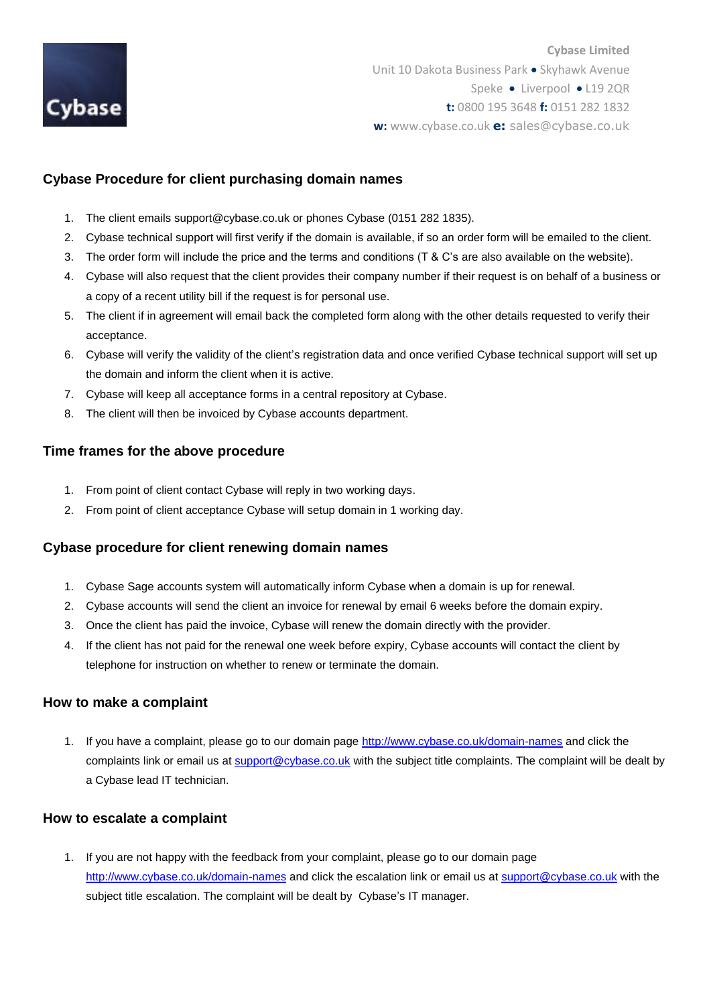

# **Cybase Procedure for client purchasing domain names**

- 1. The client emails support@cybase.co.uk or phones Cybase (0151 282 1835).
- 2. Cybase technical support will first verify if the domain is available, if so an order form will be emailed to the client.
- 3. The order form will include the price and the terms and conditions (T & C's are also available on the website).
- 4. Cybase will also request that the client provides their company number if their request is on behalf of a business or a copy of a recent utility bill if the request is for personal use.
- 5. The client if in agreement will email back the completed form along with the other details requested to verify their acceptance.
- 6. Cybase will verify the validity of the client's registration data and once verified Cybase technical support will set up the domain and inform the client when it is active.
- 7. Cybase will keep all acceptance forms in a central repository at Cybase.
- 8. The client will then be invoiced by Cybase accounts department.

## **Time frames for the above procedure**

- 1. From point of client contact Cybase will reply in two working days.
- 2. From point of client acceptance Cybase will setup domain in 1 working day.

## **Cybase procedure for client renewing domain names**

- 1. Cybase Sage accounts system will automatically inform Cybase when a domain is up for renewal.
- 2. Cybase accounts will send the client an invoice for renewal by email 6 weeks before the domain expiry.
- 3. Once the client has paid the invoice, Cybase will renew the domain directly with the provider.
- 4. If the client has not paid for the renewal one week before expiry, Cybase accounts will contact the client by telephone for instruction on whether to renew or terminate the domain.

### **How to make a complaint**

1. If you have a complaint, please go to our domain page<http://www.cybase.co.uk/domain-names> and click the complaints link or email us a[t support@cybase.co.uk](mailto:support@cybase.co.uk) with the subject title complaints. The complaint will be dealt by a Cybase lead IT technician.

## **How to escalate a complaint**

1. If you are not happy with the feedback from your complaint, please go to our domain page <http://www.cybase.co.uk/domain-names> and click the escalation link or email us at [support@cybase.co.uk](mailto:support@cybase.co.uk) with the subject title escalation. The complaint will be dealt by Cybase's IT manager.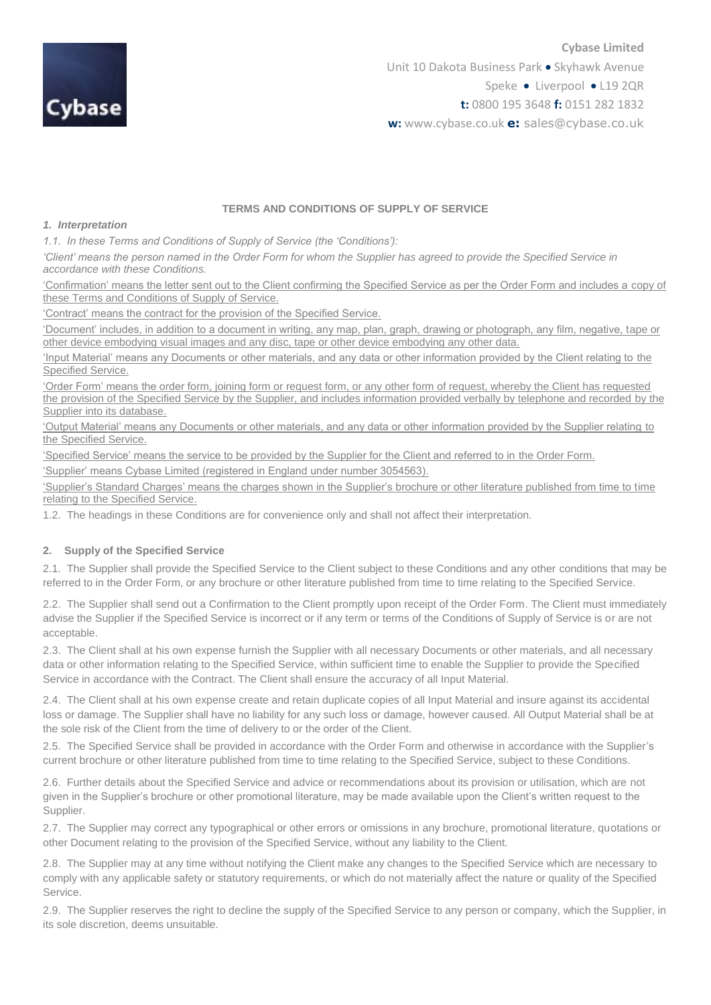

#### **TERMS AND CONDITIONS OF SUPPLY OF SERVICE**

#### *1. Interpretation*

*1.1. In these Terms and Conditions of Supply of Service (the 'Conditions'):*

*'Client' means the person named in the Order Form for whom the Supplier has agreed to provide the Specified Service in accordance with these Conditions.*

'Confirmation' means the letter sent out to the Client confirming the Specified Service as per the Order Form and includes a copy of these Terms and Conditions of Supply of Service.

'Contract' means the contract for the provision of the Specified Service.

'Document' includes, in addition to a document in writing, any map, plan, graph, drawing or photograph, any film, negative, tape or other device embodying visual images and any disc, tape or other device embodying any other data.

'Input Material' means any Documents or other materials, and any data or other information provided by the Client relating to the Specified Service.

'Order Form' means the order form, joining form or request form, or any other form of request, whereby the Client has requested the provision of the Specified Service by the Supplier, and includes information provided verbally by telephone and recorded by the Supplier into its database.

'Output Material' means any Documents or other materials, and any data or other information provided by the Supplier relating to the Specified Service.

'Specified Service' means the service to be provided by the Supplier for the Client and referred to in the Order Form.

'Supplier' means Cybase Limited (registered in England under number 3054563).

'Supplier's Standard Charges' means the charges shown in the Supplier's brochure or other literature published from time to time relating to the Specified Service.

1.2. The headings in these Conditions are for convenience only and shall not affect their interpretation.

#### **2. Supply of the Specified Service**

2.1. The Supplier shall provide the Specified Service to the Client subject to these Conditions and any other conditions that may be referred to in the Order Form, or any brochure or other literature published from time to time relating to the Specified Service.

2.2. The Supplier shall send out a Confirmation to the Client promptly upon receipt of the Order Form. The Client must immediately advise the Supplier if the Specified Service is incorrect or if any term or terms of the Conditions of Supply of Service is or are not acceptable.

2.3. The Client shall at his own expense furnish the Supplier with all necessary Documents or other materials, and all necessary data or other information relating to the Specified Service, within sufficient time to enable the Supplier to provide the Specified Service in accordance with the Contract. The Client shall ensure the accuracy of all Input Material.

2.4. The Client shall at his own expense create and retain duplicate copies of all Input Material and insure against its accidental loss or damage. The Supplier shall have no liability for any such loss or damage, however caused. All Output Material shall be at the sole risk of the Client from the time of delivery to or the order of the Client.

2.5. The Specified Service shall be provided in accordance with the Order Form and otherwise in accordance with the Supplier's current brochure or other literature published from time to time relating to the Specified Service, subject to these Conditions.

2.6. Further details about the Specified Service and advice or recommendations about its provision or utilisation, which are not given in the Supplier's brochure or other promotional literature, may be made available upon the Client's written request to the Supplier.

2.7. The Supplier may correct any typographical or other errors or omissions in any brochure, promotional literature, quotations or other Document relating to the provision of the Specified Service, without any liability to the Client.

2.8. The Supplier may at any time without notifying the Client make any changes to the Specified Service which are necessary to comply with any applicable safety or statutory requirements, or which do not materially affect the nature or quality of the Specified Service.

2.9. The Supplier reserves the right to decline the supply of the Specified Service to any person or company, which the Supplier, in its sole discretion, deems unsuitable.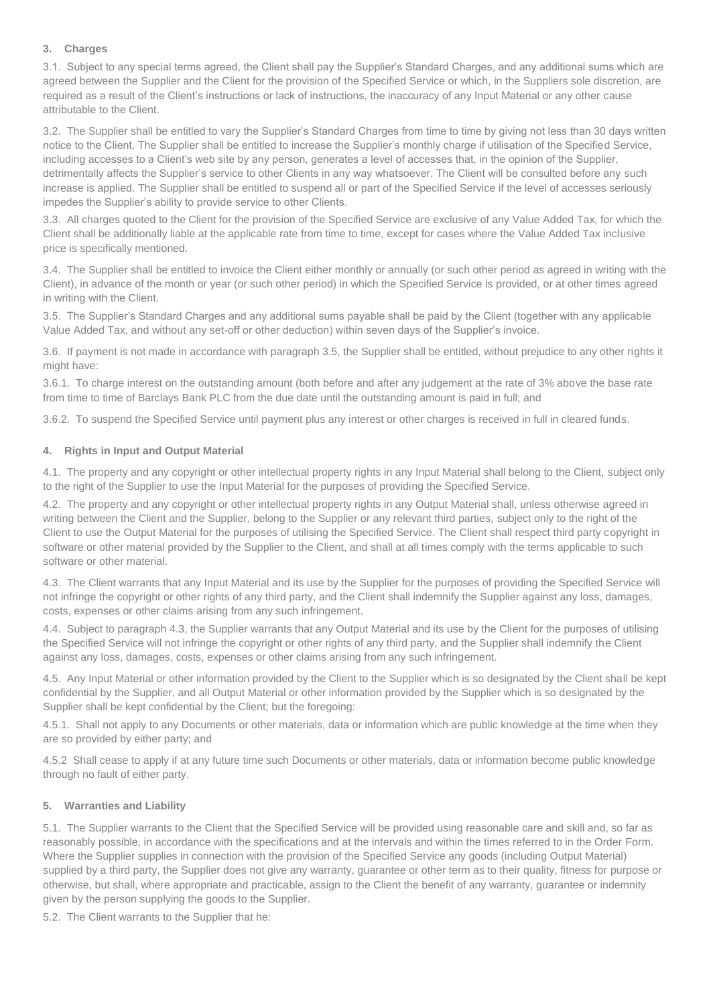#### **3. Charges**

3.1. Subject to any special terms agreed, the Client shall pay the Supplier's Standard Charges, and any additional sums which are agreed between the Supplier and the Client for the provision of the Specified Service or which, in the Suppliers sole discretion, are required as a result of the Client's instructions or lack of instructions, the inaccuracy of any Input Material or any other cause attributable to the Client.

3.2. The Supplier shall be entitled to vary the Supplier's Standard Charges from time to time by giving not less than 30 days written notice to the Client. The Supplier shall be entitled to increase the Supplier's monthly charge if utilisation of the Specified Service, including accesses to a Client's web site by any person, generates a level of accesses that, in the opinion of the Supplier, detrimentally affects the Supplier's service to other Clients in any way whatsoever. The Client will be consulted before any such increase is applied. The Supplier shall be entitled to suspend all or part of the Specified Service if the level of accesses seriously impedes the Supplier's ability to provide service to other Clients.

3.3. All charges quoted to the Client for the provision of the Specified Service are exclusive of any Value Added Tax, for which the Client shall be additionally liable at the applicable rate from time to time, except for cases where the Value Added Tax inclusive price is specifically mentioned.

3.4. The Supplier shall be entitled to invoice the Client either monthly or annually (or such other period as agreed in writing with the Client), in advance of the month or year (or such other period) in which the Specified Service is provided, or at other times agreed in writing with the Client.

3.5. The Supplier's Standard Charges and any additional sums payable shall be paid by the Client (together with any applicable Value Added Tax, and without any set-off or other deduction) within seven days of the Supplier's invoice.

3.6. If payment is not made in accordance with paragraph 3.5, the Supplier shall be entitled, without prejudice to any other rights it might have:

3.6.1. To charge interest on the outstanding amount (both before and after any judgement at the rate of 3% above the base rate from time to time of Barclays Bank PLC from the due date until the outstanding amount is paid in full; and

3.6.2. To suspend the Specified Service until payment plus any interest or other charges is received in full in cleared funds.

#### **4. Rights in Input and Output Material**

4.1. The property and any copyright or other intellectual property rights in any Input Material shall belong to the Client, subject only to the right of the Supplier to use the Input Material for the purposes of providing the Specified Service.

4.2. The property and any copyright or other intellectual property rights in any Output Material shall, unless otherwise agreed in writing between the Client and the Supplier, belong to the Supplier or any relevant third parties, subject only to the right of the Client to use the Output Material for the purposes of utilising the Specified Service. The Client shall respect third party copyright in software or other material provided by the Supplier to the Client, and shall at all times comply with the terms applicable to such software or other material.

4.3. The Client warrants that any Input Material and its use by the Supplier for the purposes of providing the Specified Service will not infringe the copyright or other rights of any third party, and the Client shall indemnify the Supplier against any loss, damages, costs, expenses or other claims arising from any such infringement.

4.4. Subject to paragraph 4.3, the Supplier warrants that any Output Material and its use by the Client for the purposes of utilising the Specified Service will not infringe the copyright or other rights of any third party, and the Supplier shall indemnify the Client against any loss, damages, costs, expenses or other claims arising from any such infringement.

4.5. Any Input Material or other information provided by the Client to the Supplier which is so designated by the Client shall be kept confidential by the Supplier, and all Output Material or other information provided by the Supplier which is so designated by the Supplier shall be kept confidential by the Client; but the foregoing:

4.5.1. Shall not apply to any Documents or other materials, data or information which are public knowledge at the time when they are so provided by either party; and

4.5.2 Shall cease to apply if at any future time such Documents or other materials, data or information become public knowledge through no fault of either party.

#### **5. Warranties and Liability**

5.1. The Supplier warrants to the Client that the Specified Service will be provided using reasonable care and skill and, so far as reasonably possible, in accordance with the specifications and at the intervals and within the times referred to in the Order Form. Where the Supplier supplies in connection with the provision of the Specified Service any goods (including Output Material) supplied by a third party, the Supplier does not give any warranty, guarantee or other term as to their quality, fitness for purpose or otherwise, but shall, where appropriate and practicable, assign to the Client the benefit of any warranty, guarantee or indemnity given by the person supplying the goods to the Supplier.

5.2. The Client warrants to the Supplier that he: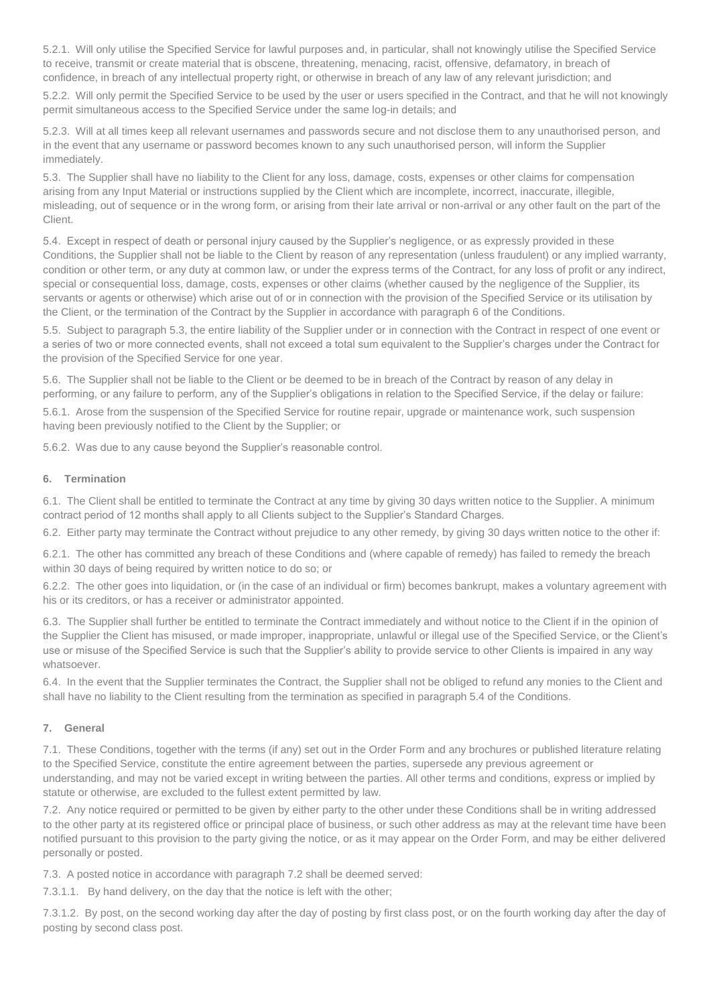5.2.1. Will only utilise the Specified Service for lawful purposes and, in particular, shall not knowingly utilise the Specified Service to receive, transmit or create material that is obscene, threatening, menacing, racist, offensive, defamatory, in breach of confidence, in breach of any intellectual property right, or otherwise in breach of any law of any relevant jurisdiction; and

5.2.2. Will only permit the Specified Service to be used by the user or users specified in the Contract, and that he will not knowingly permit simultaneous access to the Specified Service under the same log-in details; and

5.2.3. Will at all times keep all relevant usernames and passwords secure and not disclose them to any unauthorised person, and in the event that any username or password becomes known to any such unauthorised person, will inform the Supplier immediately.

5.3. The Supplier shall have no liability to the Client for any loss, damage, costs, expenses or other claims for compensation arising from any Input Material or instructions supplied by the Client which are incomplete, incorrect, inaccurate, illegible, misleading, out of sequence or in the wrong form, or arising from their late arrival or non-arrival or any other fault on the part of the Client.

5.4. Except in respect of death or personal injury caused by the Supplier's negligence, or as expressly provided in these Conditions, the Supplier shall not be liable to the Client by reason of any representation (unless fraudulent) or any implied warranty, condition or other term, or any duty at common law, or under the express terms of the Contract, for any loss of profit or any indirect, special or consequential loss, damage, costs, expenses or other claims (whether caused by the negligence of the Supplier, its servants or agents or otherwise) which arise out of or in connection with the provision of the Specified Service or its utilisation by the Client, or the termination of the Contract by the Supplier in accordance with paragraph 6 of the Conditions.

5.5. Subject to paragraph 5.3, the entire liability of the Supplier under or in connection with the Contract in respect of one event or a series of two or more connected events, shall not exceed a total sum equivalent to the Supplier's charges under the Contract for the provision of the Specified Service for one year.

5.6. The Supplier shall not be liable to the Client or be deemed to be in breach of the Contract by reason of any delay in performing, or any failure to perform, any of the Supplier's obligations in relation to the Specified Service, if the delay or failure: 5.6.1. Arose from the suspension of the Specified Service for routine repair, upgrade or maintenance work, such suspension having been previously notified to the Client by the Supplier; or

5.6.2. Was due to any cause beyond the Supplier's reasonable control.

#### **6. Termination**

6.1. The Client shall be entitled to terminate the Contract at any time by giving 30 days written notice to the Supplier. A minimum contract period of 12 months shall apply to all Clients subject to the Supplier's Standard Charges.

6.2. Either party may terminate the Contract without prejudice to any other remedy, by giving 30 days written notice to the other if:

6.2.1. The other has committed any breach of these Conditions and (where capable of remedy) has failed to remedy the breach within 30 days of being required by written notice to do so; or

6.2.2. The other goes into liquidation, or (in the case of an individual or firm) becomes bankrupt, makes a voluntary agreement with his or its creditors, or has a receiver or administrator appointed.

6.3. The Supplier shall further be entitled to terminate the Contract immediately and without notice to the Client if in the opinion of the Supplier the Client has misused, or made improper, inappropriate, unlawful or illegal use of the Specified Service, or the Client's use or misuse of the Specified Service is such that the Supplier's ability to provide service to other Clients is impaired in any way whatsoever.

6.4. In the event that the Supplier terminates the Contract, the Supplier shall not be obliged to refund any monies to the Client and shall have no liability to the Client resulting from the termination as specified in paragraph 5.4 of the Conditions.

#### **7. General**

7.1. These Conditions, together with the terms (if any) set out in the Order Form and any brochures or published literature relating to the Specified Service, constitute the entire agreement between the parties, supersede any previous agreement or understanding, and may not be varied except in writing between the parties. All other terms and conditions, express or implied by statute or otherwise, are excluded to the fullest extent permitted by law.

7.2. Any notice required or permitted to be given by either party to the other under these Conditions shall be in writing addressed to the other party at its registered office or principal place of business, or such other address as may at the relevant time have been notified pursuant to this provision to the party giving the notice, or as it may appear on the Order Form, and may be either delivered personally or posted.

7.3. A posted notice in accordance with paragraph 7.2 shall be deemed served:

7.3.1.1. By hand delivery, on the day that the notice is left with the other;

7.3.1.2. By post, on the second working day after the day of posting by first class post, or on the fourth working day after the day of posting by second class post.